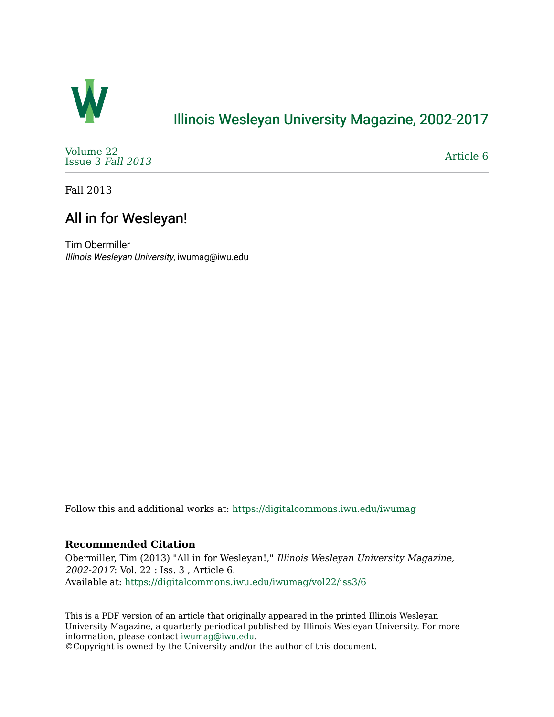

## [Illinois Wesleyan University Magazine, 2002-2017](https://digitalcommons.iwu.edu/iwumag)

[Volume 22](https://digitalcommons.iwu.edu/iwumag/vol22)  [Issue 3](https://digitalcommons.iwu.edu/iwumag/vol22/iss3) Fall 2013

[Article 6](https://digitalcommons.iwu.edu/iwumag/vol22/iss3/6) 

Fall 2013

# All in for Wesleyan!

Tim Obermiller Illinois Wesleyan University, iwumag@iwu.edu

Follow this and additional works at: [https://digitalcommons.iwu.edu/iwumag](https://digitalcommons.iwu.edu/iwumag?utm_source=digitalcommons.iwu.edu%2Fiwumag%2Fvol22%2Fiss3%2F6&utm_medium=PDF&utm_campaign=PDFCoverPages) 

### **Recommended Citation**

Obermiller, Tim (2013) "All in for Wesleyan!," Illinois Wesleyan University Magazine, 2002-2017: Vol. 22 : Iss. 3 , Article 6. Available at: [https://digitalcommons.iwu.edu/iwumag/vol22/iss3/6](https://digitalcommons.iwu.edu/iwumag/vol22/iss3/6?utm_source=digitalcommons.iwu.edu%2Fiwumag%2Fvol22%2Fiss3%2F6&utm_medium=PDF&utm_campaign=PDFCoverPages)

This is a PDF version of an article that originally appeared in the printed Illinois Wesleyan University Magazine, a quarterly periodical published by Illinois Wesleyan University. For more information, please contact [iwumag@iwu.edu](mailto:iwumag@iwu.edu).

©Copyright is owned by the University and/or the author of this document.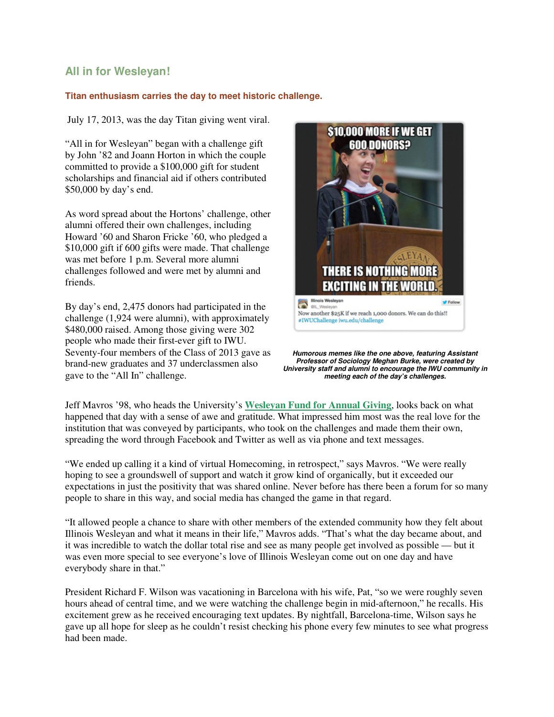### **All in for Wesleyan!**

#### **Titan enthusiasm carries the day to meet historic challenge.**

July 17, 2013, was the day Titan giving went viral.

"All in for Wesleyan" began with a challenge gift by John '82 and Joann Horton in which the couple committed to provide a \$100,000 gift for student scholarships and financial aid if others contributed \$50,000 by day's end.

As word spread about the Hortons' challenge, other alumni offered their own challenges, including Howard '60 and Sharon Fricke '60, who pledged a \$10,000 gift if 600 gifts were made. That challenge was met before 1 p.m. Several more alumni challenges followed and were met by alumni and friends.

By day's end, 2,475 donors had participated in the challenge (1,924 were alumni), with approximately \$480,000 raised. Among those giving were 302 people who made their first-ever gift to IWU. Seventy-four members of the Class of 2013 gave as brand-new graduates and 37 underclassmen also gave to the "All In" challenge.



**Humorous memes like the one above, featuring Assistant Professor of Sociology Meghan Burke, were created by University staff and alumni to encourage the IWU community in meeting each of the day's challenges.**

Jeff Mavros '98, who heads the University's **Wesleyan Fund for Annual Giving**, looks back on what happened that day with a sense of awe and gratitude. What impressed him most was the real love for the institution that was conveyed by participants, who took on the challenges and made them their own, spreading the word through Facebook and Twitter as well as via phone and text messages.

"We ended up calling it a kind of virtual Homecoming, in retrospect," says Mavros. "We were really hoping to see a groundswell of support and watch it grow kind of organically, but it exceeded our expectations in just the positivity that was shared online. Never before has there been a forum for so many people to share in this way, and social media has changed the game in that regard.

"It allowed people a chance to share with other members of the extended community how they felt about Illinois Wesleyan and what it means in their life," Mavros adds. "That's what the day became about, and it was incredible to watch the dollar total rise and see as many people get involved as possible — but it was even more special to see everyone's love of Illinois Wesleyan come out on one day and have everybody share in that."

President Richard F. Wilson was vacationing in Barcelona with his wife, Pat, "so we were roughly seven hours ahead of central time, and we were watching the challenge begin in mid-afternoon," he recalls. His excitement grew as he received encouraging text updates. By nightfall, Barcelona-time, Wilson says he gave up all hope for sleep as he couldn't resist checking his phone every few minutes to see what progress had been made.